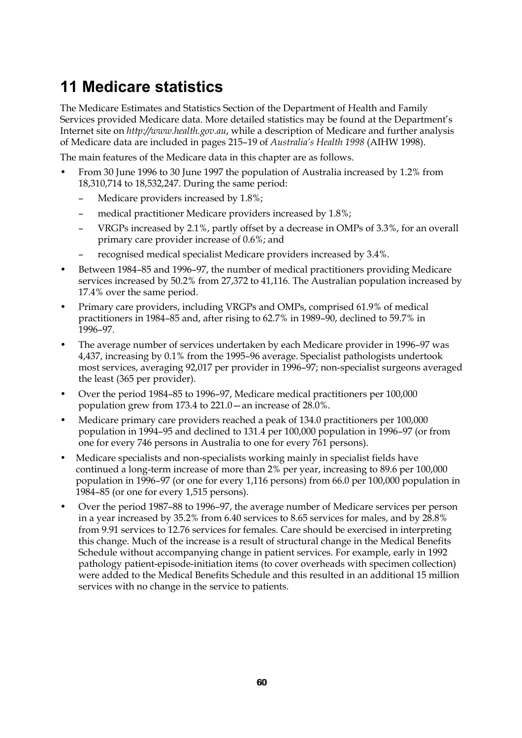## **11 Medicare statistics**

The Medicare Estimates and Statistics Section of the Department of Health and Family Services provided Medicare data. More detailed statistics may be found at the Department's Internet site on *http://www.health.gov.au*, while a description of Medicare and further analysis of Medicare data are included in pages 215–19 of *Australia's Health 1998* (AIHW 1998).

The main features of the Medicare data in this chapter are as follows.

- From 30 June 1996 to 30 June 1997 the population of Australia increased by 1.2% from 18,310,714 to 18,532,247. During the same period:
	- Medicare providers increased by 1.8%;
	- medical practitioner Medicare providers increased by 1.8%;
	- VRGPs increased by 2.1%, partly offset by a decrease in OMPs of 3.3%, for an overall primary care provider increase of 0.6%; and
	- recognised medical specialist Medicare providers increased by 3.4%.
- Between 1984–85 and 1996–97, the number of medical practitioners providing Medicare services increased by 50.2% from 27,372 to 41,116. The Australian population increased by 17.4% over the same period.
- Primary care providers, including VRGPs and OMPs, comprised 61.9% of medical practitioners in 1984–85 and, after rising to 62.7% in 1989–90, declined to 59.7% in 1996–97.
- The average number of services undertaken by each Medicare provider in 1996–97 was 4,437, increasing by 0.1% from the 1995–96 average. Specialist pathologists undertook most services, averaging 92,017 per provider in 1996–97; non-specialist surgeons averaged the least (365 per provider).
- Over the period 1984–85 to 1996–97, Medicare medical practitioners per 100,000 population grew from 173.4 to 221.0—an increase of 28.0%.
- Medicare primary care providers reached a peak of 134.0 practitioners per 100,000 population in 1994–95 and declined to 131.4 per 100,000 population in 1996–97 (or from one for every 746 persons in Australia to one for every 761 persons).
- Medicare specialists and non-specialists working mainly in specialist fields have continued a long-term increase of more than 2% per year, increasing to 89.6 per 100,000 population in 1996–97 (or one for every 1,116 persons) from 66.0 per 100,000 population in 1984–85 (or one for every 1,515 persons).
- Over the period 1987–88 to 1996–97, the average number of Medicare services per person in a year increased by 35.2% from 6.40 services to 8.65 services for males, and by 28.8% from 9.91 services to 12.76 services for females. Care should be exercised in interpreting this change. Much of the increase is a result of structural change in the Medical Benefits Schedule without accompanying change in patient services. For example, early in 1992 pathology patient-episode-initiation items (to cover overheads with specimen collection) were added to the Medical Benefits Schedule and this resulted in an additional 15 million services with no change in the service to patients.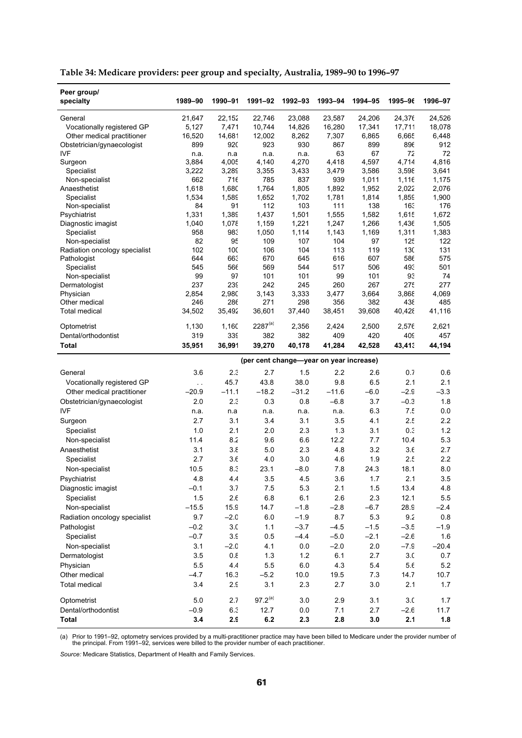| Peer group/<br>specialty           | 1989-90        | 1990-91        | 1991-92                                 | 1992-93        | 1993-94        | 1994-95        | 1995-96        | 1996-97        |
|------------------------------------|----------------|----------------|-----------------------------------------|----------------|----------------|----------------|----------------|----------------|
| General                            | 21,647         | 22,152         | 22,746                                  | 23,088         | 23,587         | 24,206         | 24,376         | 24,526         |
| Vocationally registered GP         | 5,127          | 7,471          | 10,744                                  | 14,826         | 16,280         | 17,341         | 17,711         | 18,078         |
| Other medical practitioner         | 16,520         | 14,681         | 12,002                                  | 8,262          | 7,307          | 6,865          | 6,665          | 6,448          |
| Obstetrician/gynaecologist         | 899            | 920            | 923                                     | 930            | 867            | 899            | 896            | 912            |
| <b>IVF</b>                         | n.a.           | n.a            | n.a.                                    | n.a.           | 63             | 67             | 72             | 72             |
| Surgeon                            | 3,884          | 4,005          | 4,140                                   | 4,270          | 4,418          | 4,597          | 4,714          | 4,816          |
| Specialist                         | 3,222          | 3,289          | 3,355                                   | 3,433          | 3,479          | 3,586          | 3,598          | 3,641          |
| Non-specialist                     | 662            | 716            | 785                                     | 837            | 939            | 1,011          | 1,116          | 1,175          |
| Anaesthetist                       | 1,618          | 1,680          | 1,764                                   | 1,805          | 1,892          | 1,952          | 2,022          | 2,076          |
| Specialist                         | 1,534          | 1,589          | 1,652                                   | 1,702          | 1,781          | 1,814          | 1,859          | 1,900          |
| Non-specialist                     | 84             | 91             | 112                                     | 103            | 111            | 138            | 163            | 176            |
| Psychiatrist<br>Diagnostic imagist | 1,331<br>1,040 | 1,389<br>1,078 | 1,437<br>1,159                          | 1,501<br>1,221 | 1,555<br>1,247 | 1,582<br>1,266 | 1,615<br>1,436 | 1,672<br>1,505 |
| Specialist                         | 958            | 983            | 1,050                                   | 1,114          | 1,143          | 1,169          | 1,311          | 1,383          |
| Non-specialist                     | 82             | 95             | 109                                     | 107            | 104            | 97             | 125            | 122            |
| Radiation oncology specialist      | 102            | 100            | 106                                     | 104            | 113            | 119            | 130            | 131            |
| Pathologist                        | 644            | 663            | 670                                     | 645            | 616            | 607            | 586            | 575            |
| Specialist                         | 545            | 566            | 569                                     | 544            | 517            | 506            | 493            | 501            |
| Non-specialist                     | 99             | 97             | 101                                     | 101            | 99             | 101            | 93             | 74             |
| Dermatologist                      | 237            | 239            | 242                                     | 245            | 260            | 267            | 275            | 277            |
| Physician                          | 2,854          | 2,980          | 3,143                                   | 3,333          | 3,477          | 3,664          | 3,868          | 4,069          |
| Other medical                      | 246            | 286            | 271                                     | 298            | 356            | 382            | 438            | 485            |
| Total medical                      | 34,502         | 35,492         | 36,601                                  | 37,440         | 38,451         | 39,608         | 40,428         | 41,116         |
| Optometrist                        | 1,130          | 1,16C          | $2287^{(a)}$                            | 2,356          | 2,424          | 2,500          | 2,576          | 2,621          |
| Dental/orthodontist                | 319            | 339            | 382                                     | 382            | 409            | 420            | 409            | 457            |
| Total                              | 35,951         | 36,991         | 39,270                                  | 40,178         | 41,284         | 42,528         | 43,413         | 44,194         |
|                                    |                |                | (per cent change-year on year increase) |                |                |                |                |                |
| General                            | 3.6            | 2.3            | 2.7                                     | 1.5            | 2.2            | 2.6            | 0.7            | 0.6            |
| Vocationally registered GP         | ùч             | 45.7           | 43.8                                    | 38.0           | 9.8            | 6.5            | 2.1            | 2.1            |
| Other medical practitioner         | $-20.9$        | $-11.1$        | $-18.2$                                 | $-31.2$        | $-11.6$        | $-6.0$         | $-2.9$         | $-3.3$         |
| Obstetrician/gynaecologist         | 2.0            | 2.3            | 0.3                                     | 0.8            | $-6.8$         | 3.7            | $-0.3$         | 1.8            |
| <b>IVF</b>                         | n.a.           | n.a            | n.a.                                    | n.a.           | n.a.           | 6.3            | 7 Ł            | 0.0            |
| Surgeon                            | 2.7            | 3.1            | 3.4                                     | 3.1            | 3.5            | 4.1            | 2.5            | 2.2            |
| Specialist                         | 1.0            | 2.1            | 2.0                                     | 2.3            | 1.3            | 3.1            | 0.3            | 1.2            |
| Non-specialist                     | 11.4           | 8.2            | 9.6                                     | 6.6            | 12.2           | 7.7            | 10.4           | 5.3            |
| Anaesthetist                       | 3.1            | 3.8            | 5.0                                     | 2.3            | 4.8            | 3.2            | 3.6            | 2.7            |
| Specialist                         | 2.7            | 3.E            | 4.0                                     | 3.0            | 4.6            | 1.9            | 2.5            | 2.2            |
| Non-specialist                     | 10.5           | 8.3            | 23.1                                    | $-8.0$         | 7.8            | 24.3           | 18.1           | 8.0            |
| Psychiatrist                       | 4.8            | 4.4            | 3.5                                     | 4.5            | 3.6            | 1.7            | 2.1            | 3.5            |
| Diagnostic imagist                 | $-0.1$         | 3.7            | 7.5                                     | 5.3            | 2.1            | 1.5            | 13.4           | 4.8            |
| Specialist                         | 1.5            | 2.6            | $6.8\,$                                 | 6.1            | 2.6            | 2.3            | 12.1           | 5.5            |
| Non-specialist                     | $-15.5$        | 15.9           | 14.7                                    | $-1.8$         | $-2.8$         | $-6.7$         | 28.9           | $-2.4$         |
| Radiation oncology specialist      | 9.7            | $-2.0$         | $6.0\,$                                 | $-1.9$         | 8.7            | 5.3            | 9.2            | 0.8            |
| Pathologist                        | $-0.2$         | 3 <sub>c</sub> | 1.1                                     | $-3.7$         | $-4.5$         | $-1.5$         | $-3.5$         | $-1.9$         |
| Specialist                         | $-0.7$         | 3.9            | 0.5                                     | $-4.4$         | $-5.0$         | $-2.1$         | $-2.6$         | 1.6            |
|                                    |                |                |                                         |                |                |                |                |                |
| Non-specialist                     | 3.1            | $-2.0$         | 4.1                                     | 0.0            | $-2.0$         | 2.0            | $-7.9$         | $-20.4$        |
| Dermatologist                      | 3.5            | 3.0            | $1.3$                                   | $1.2$          | 6.1            | 2.7            | 3.0            | 0.7            |
| Physician                          | 5.5            | 4.4            | 5.5                                     | 6.0            | 4.3            | 5.4            | 5.6            | 5.2            |
| Other medical                      | $-4.7$         | 16.3           | $-5.2$                                  | 10.0           | 19.5           | 7.3            | 14.7           | 10.7           |
| <b>Total medical</b>               | 3.4            | 2.9            | 3.1                                     | 2.3            | 2.7            | 3.0            | 2.1            | 1.7            |
| Optometrist                        | 5.0            | 2.7            | $97.2^{(a)}$                            | 3.0            | 2.9            | 3.1            | 3 <sub>c</sub> | 1.7            |
| Dental/orthodontist                | $-0.9$         | 6.3            | 12.7                                    | $0.0\,$        | 7.1            | 2.7            | $-2.6$         | 11.7           |
| <b>Total</b>                       | 3.4            | 2.9            | $6.2\,$                                 | 2.3            | 2.8            | 3.0            | 2.1            | 1.8            |

**Table 34: Medicare providers: peer group and specialty, Australia, 1989–90 to 1996–97**

(a) Prior to 1991–92, optometry services provided by a multi-practitioner practice may have been billed to Medicare under the provider number of<br>the principal. From 1991–92, services were billed to the provider number of e

*Source:* Medicare Statistics, Department of Health and Family Services.